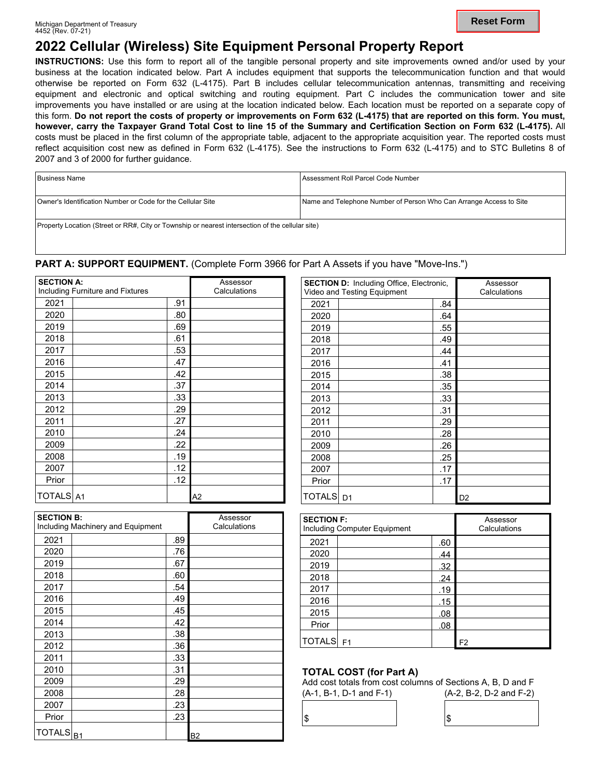# **2022 Cellular (Wireless) Site Equipment Personal Property Report**

**INSTRUCTIONS:** Use this form to report all of the tangible personal property and site improvements owned and/or used by your business at the location indicated below. Part A includes equipment that supports the telecommunication function and that would otherwise be reported on Form 632 (L-4175). Part B includes cellular telecommunication antennas, transmitting and receiving equipment and electronic and optical switching and routing equipment. Part C includes the communication tower and site improvements you have installed or are using at the location indicated below. Each location must be reported on a separate copy of this form. **Do not report the costs of property or improvements on Form 632 (L-4175) that are reported on this form. You must, however, carry the Taxpayer Grand Total Cost to line 15 of the Summary and Certification Section on Form 632 (L-4175).** All costs must be placed in the first column of the appropriate table, adjacent to the appropriate acquisition year. The reported costs must reflect acquisition cost new as defined in Form 632 (L-4175). See the instructions to Form 632 (L-4175) and to STC Bulletins 8 of 2007 and 3 of 2000 for further guidance.

| Business Name                                                                                    | Assessment Roll Parcel Code Number                                 |  |  |  |
|--------------------------------------------------------------------------------------------------|--------------------------------------------------------------------|--|--|--|
| Owner's Identification Number or Code for the Cellular Site                                      | Name and Telephone Number of Person Who Can Arrange Access to Site |  |  |  |
| Property Location (Street or RR#, City or Township or nearest intersection of the cellular site) |                                                                    |  |  |  |

# PART A: SUPPORT EQUIPMENT. (Complete Form 3966 for Part A Assets if you have "Move-Ins.")

| <b>SECTION A:</b> |                                  |     | Assessor     |  |  |
|-------------------|----------------------------------|-----|--------------|--|--|
|                   | Including Furniture and Fixtures |     | Calculations |  |  |
| 2021              |                                  | .91 |              |  |  |
| 2020              |                                  | .80 |              |  |  |
| 2019              |                                  | .69 |              |  |  |
| 2018              |                                  | .61 |              |  |  |
| 2017              |                                  | .53 |              |  |  |
| 2016              |                                  | .47 |              |  |  |
| 2015              |                                  | .42 |              |  |  |
| 2014              |                                  | .37 |              |  |  |
| 2013              |                                  | .33 |              |  |  |
| 2012              |                                  | .29 |              |  |  |
| 2011              |                                  | .27 |              |  |  |
| 2010              |                                  | .24 |              |  |  |
| 2009              |                                  | .22 |              |  |  |
| 2008              |                                  | .19 |              |  |  |
| 2007              |                                  | .12 |              |  |  |
| Prior             |                                  | .12 |              |  |  |
| <b>TOTALS</b> A1  |                                  |     | A2           |  |  |

| <b>SECTION B:</b><br>Including Machinery and Equipment |  | Assessor<br>Calculations |                |
|--------------------------------------------------------|--|--------------------------|----------------|
| 2021                                                   |  | .89                      |                |
| 2020                                                   |  | .76                      |                |
| 2019                                                   |  | .67                      |                |
| 2018                                                   |  | .60                      |                |
| 2017                                                   |  | .54                      |                |
| 2016                                                   |  | .49                      |                |
| 2015                                                   |  | .45                      |                |
| 2014                                                   |  | .42                      |                |
| 2013                                                   |  | .38                      |                |
| 2012                                                   |  | .36                      |                |
| 2011                                                   |  | .33                      |                |
| 2010                                                   |  | .31                      |                |
| 2009                                                   |  | .29                      |                |
| 2008                                                   |  | .28                      |                |
| 2007                                                   |  | .23                      |                |
| Prior                                                  |  | .23                      |                |
| $TOTALS$ <sub>B1</sub>                                 |  |                          | B <sub>2</sub> |

| <b>SECTION D: Including Office, Electronic,</b><br>Video and Testing Equipment |  | Assessor<br>Calculations |                |
|--------------------------------------------------------------------------------|--|--------------------------|----------------|
| 2021                                                                           |  | .84                      |                |
| 2020                                                                           |  | .64                      |                |
| 2019                                                                           |  | .55                      |                |
| 2018                                                                           |  | .49                      |                |
| 2017                                                                           |  | .44                      |                |
| 2016                                                                           |  | .41                      |                |
| 2015                                                                           |  | .38                      |                |
| 2014                                                                           |  | .35                      |                |
| 2013                                                                           |  | .33                      |                |
| 2012                                                                           |  | .31                      |                |
| 2011                                                                           |  | .29                      |                |
| 2010                                                                           |  | .28                      |                |
| 2009                                                                           |  | .26                      |                |
| 2008                                                                           |  | .25                      |                |
| 2007                                                                           |  | .17                      |                |
| Prior                                                                          |  | .17                      |                |
| TOTALS D1                                                                      |  |                          | D <sub>2</sub> |

| <b>SECTION F:</b> | Including Computer Equipment | Assessor<br>Calculations |    |
|-------------------|------------------------------|--------------------------|----|
| 2021              |                              | .60                      |    |
| 2020              |                              | .44                      |    |
| 2019              |                              | .32                      |    |
| 2018              |                              | .24                      |    |
| 2017              |                              | .19                      |    |
| 2016              |                              | .15                      |    |
| 2015              |                              | .08                      |    |
| Prior             |                              | .08                      |    |
| <b>TOTALS</b>     | F <sub>1</sub>               |                          | F2 |

# **TOTAL COST (for Part A)**

Add cost totals from cost columns of Sections A, B, D and F

| __<br>$\cdot$ , $-$<br>. .<br><br>-------<br>_ |  |
|------------------------------------------------|--|
|                                                |  |
|                                                |  |
|                                                |  |
|                                                |  |
|                                                |  |